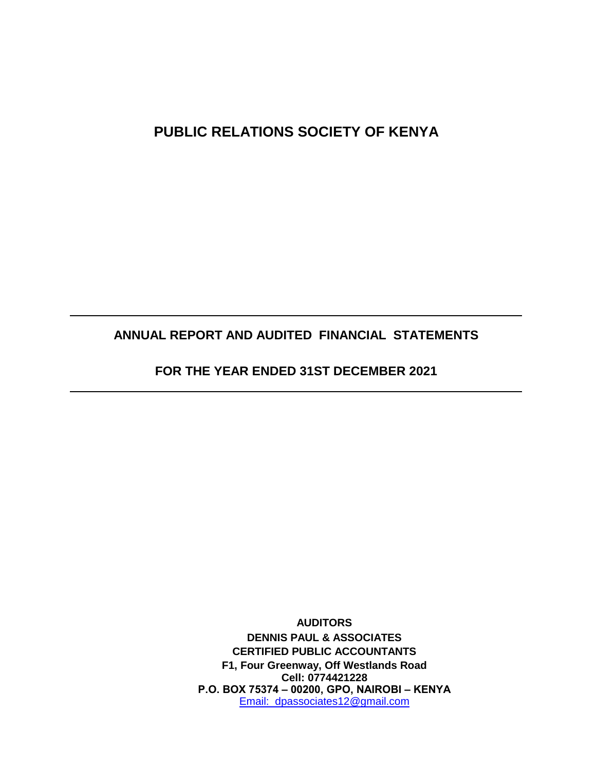# **ANNUAL REPORT AND AUDITED FINANCIAL STATEMENTS**

**FOR THE YEAR ENDED 31ST DECEMBER 2021**

**AUDITORS DENNIS PAUL & ASSOCIATES CERTIFIED PUBLIC ACCOUNTANTS F1, Four Greenway, Off Westlands Road Cell: 0774421228 P.O. BOX 75374 – 00200, GPO, NAIROBI – KENYA** [Email: dpassociates12@gmail.com](mailto:omngotho.associates@gmail.com)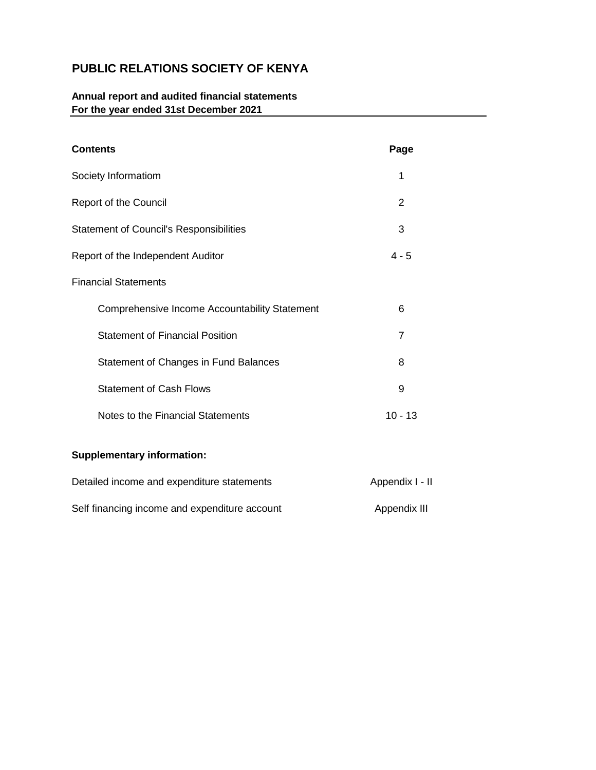# **Annual report and audited financial statements For the year ended 31st December 2021**

| <b>Contents</b>                                      | Page           |
|------------------------------------------------------|----------------|
| Society Informatiom                                  | 1              |
| <b>Report of the Council</b>                         | $\overline{2}$ |
| <b>Statement of Council's Responsibilities</b>       | 3              |
| Report of the Independent Auditor                    | $4 - 5$        |
| <b>Financial Statements</b>                          |                |
| <b>Comprehensive Income Accountability Statement</b> | 6              |
| <b>Statement of Financial Position</b>               | 7              |
| Statement of Changes in Fund Balances                | 8              |
| <b>Statement of Cash Flows</b>                       | 9              |
| Notes to the Financial Statements                    | $10 - 13$      |
|                                                      |                |

# **Supplementary information:**

| Detailed income and expenditure statements    | Appendix I - II |
|-----------------------------------------------|-----------------|
| Self financing income and expenditure account | Appendix III    |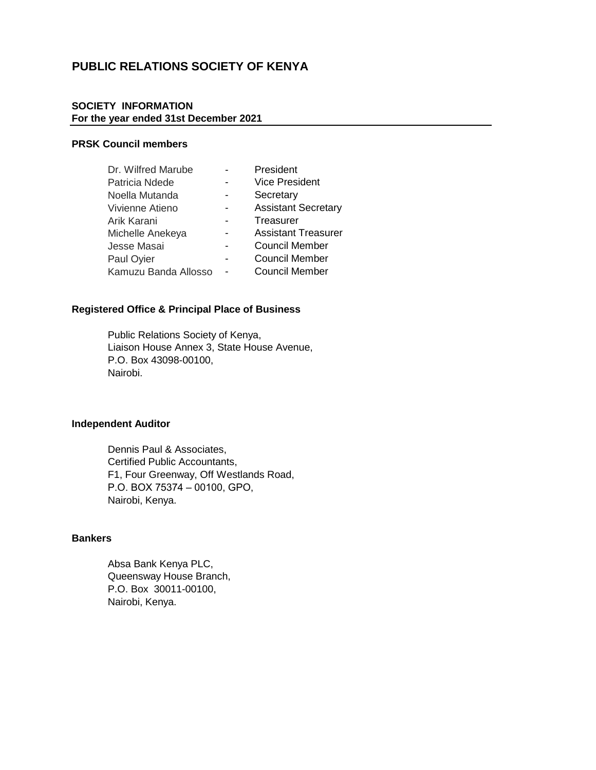### **SOCIETY INFORMATION For the year ended 31st December 2021**

### **PRSK Council members**

| Dr. Wilfred Marube   | President                  |
|----------------------|----------------------------|
| Patricia Ndede       | Vice President             |
| Noella Mutanda       | Secretary                  |
| Vivienne Atieno      | <b>Assistant Secretary</b> |
| Arik Karani          | Treasurer                  |
| Michelle Anekeya     | <b>Assistant Treasurer</b> |
| Jesse Masai          | <b>Council Member</b>      |
| Paul Oyier           | <b>Council Member</b>      |
| Kamuzu Banda Allosso | <b>Council Member</b>      |
|                      |                            |

### **Registered Office & Principal Place of Business**

Public Relations Society of Kenya, Liaison House Annex 3, State House Avenue, P.O. Box 43098-00100, Nairobi.

### **Independent Auditor**

Dennis Paul & Associates, Certified Public Accountants, F1, Four Greenway, Off Westlands Road, P.O. BOX 75374 – 00100, GPO, Nairobi, Kenya.

#### **Bankers**

Absa Bank Kenya PLC, Queensway House Branch, P.O. Box 30011-00100, Nairobi, Kenya.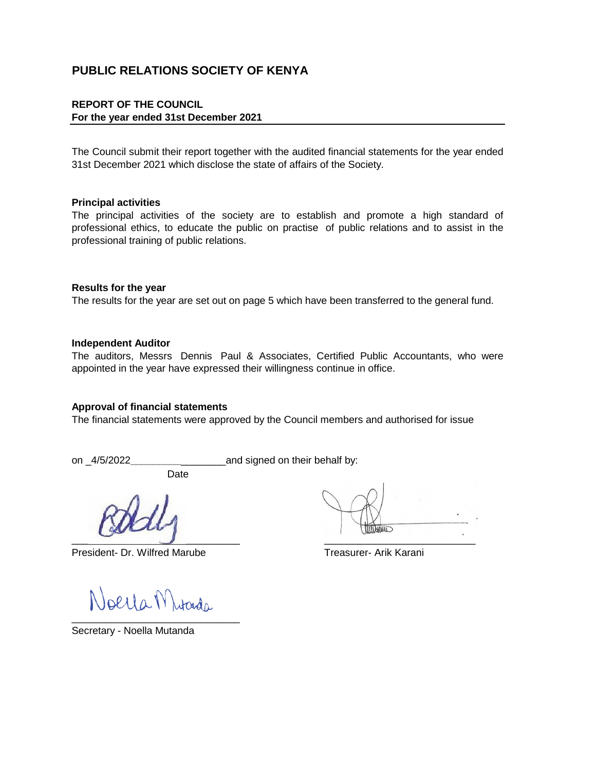### **REPORT OF THE COUNCIL For the year ended 31st December 2021**

The Council submit their report together with the audited financial statements for the year ended 31st December 2021 which disclose the state of affairs of the Society.

#### **Principal activities**

The principal activities of the society are to establish and promote a high standard of professional ethics, to educate the public on practise of public relations and to assist in the professional training of public relations.

#### **Results for the year**

The results for the year are set out on page 5 which have been transferred to the general fund.

#### **Independent Auditor**

The auditors, Messrs Dennis Paul & Associates, Certified Public Accountants, who were appointed in the year have expressed their willingness continue in office.

### **Approval of financial statements**

The financial statements were approved by the Council members and authorised for issue

on \_4/5/2022**\_\_\_\_\_\_\_\_\_**\_\_\_\_\_\_\_\_and signed on their behalf by:

Date

President- Dr. Wilfred Marube Treasurer- Arik Karani

Joella Mitada \_\_\_\_\_\_\_\_\_\_\_\_\_\_\_\_\_\_\_\_\_\_\_\_\_\_\_\_\_\_

 $\overline{\phantom{a}}$  ,  $\overline{\phantom{a}}$  ,  $\overline{\phantom{a}}$  ,  $\overline{\phantom{a}}$  ,  $\overline{\phantom{a}}$  ,  $\overline{\phantom{a}}$  ,  $\overline{\phantom{a}}$  ,  $\overline{\phantom{a}}$  ,  $\overline{\phantom{a}}$  ,  $\overline{\phantom{a}}$  ,  $\overline{\phantom{a}}$  ,  $\overline{\phantom{a}}$  ,  $\overline{\phantom{a}}$  ,  $\overline{\phantom{a}}$  ,  $\overline{\phantom{a}}$  ,  $\overline{\phantom{a}}$ 

Secretary - Noella Mutanda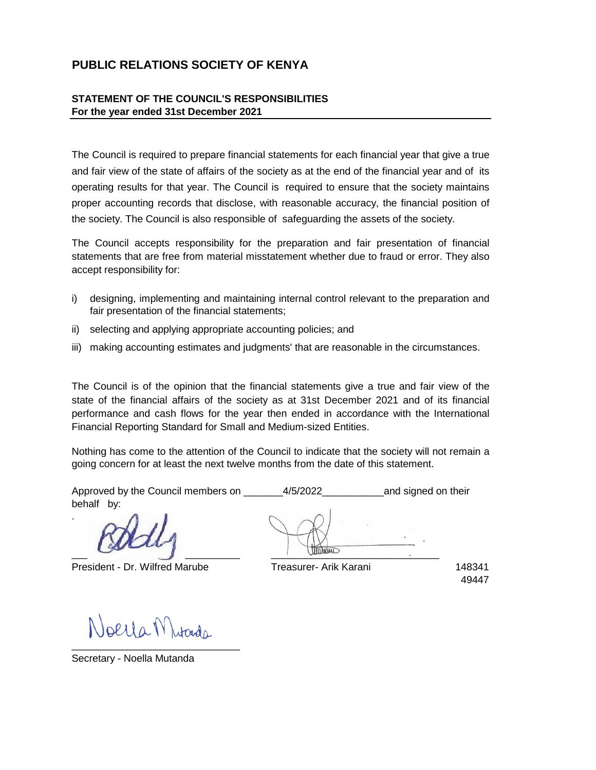### **STATEMENT OF THE COUNCIL'S RESPONSIBILITIES For the year ended 31st December 2021**

The Council is required to prepare financial statements for each financial year that give a true and fair view of the state of affairs of the society as at the end of the financial year and of its operating results for that year. The Council is required to ensure that the society maintains proper accounting records that disclose, with reasonable accuracy, the financial position of the society. The Council is also responsible of safeguarding the assets of the society.

The Council accepts responsibility for the preparation and fair presentation of financial statements that are free from material misstatement whether due to fraud or error. They also accept responsibility for:

- i) designing, implementing and maintaining internal control relevant to the preparation and fair presentation of the financial statements;
- ii) selecting and applying appropriate accounting policies; and
- iii) making accounting estimates and judgments' that are reasonable in the circumstances.

The Council is of the opinion that the financial statements give a true and fair view of the state of the financial affairs of the society as at 31st December 2021 and of its financial performance and cash flows for the year then ended in accordance with the International Financial Reporting Standard for Small and Medium-sized Entities.

Nothing has come to the attention of the Council to indicate that the society will not remain a going concern for at least the next twelve months from the date of this statement.

Approved by the Council members on \_\_\_\_\_\_\_4/5/2022\_\_\_\_\_\_\_\_\_\_\_and signed on their behalf by:

.

President - Dr. Wilfred Marube Treasurer- Arik Karani 148341

 $\blacksquare$ 

49447

\_\_\_\_\_\_\_\_\_\_\_\_\_\_\_\_\_\_\_\_\_\_\_\_\_\_\_\_\_\_

Secretary - Noella Mutanda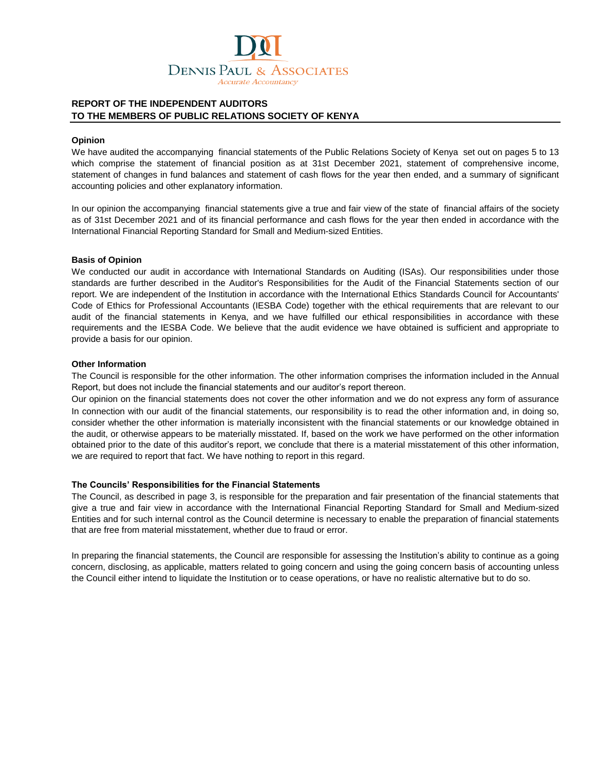

### **REPORT OF THE INDEPENDENT AUDITORS TO THE MEMBERS OF PUBLIC RELATIONS SOCIETY OF KENYA**

#### **Opinion**

We have audited the accompanying financial statements of the Public Relations Society of Kenya set out on pages 5 to 13 which comprise the statement of financial position as at 31st December 2021, statement of comprehensive income, statement of changes in fund balances and statement of cash flows for the year then ended, and a summary of significant accounting policies and other explanatory information.

In our opinion the accompanying financial statements give a true and fair view of the state of financial affairs of the society as of 31st December 2021 and of its financial performance and cash flows for the year then ended in accordance with the International Financial Reporting Standard for Small and Medium-sized Entities.

#### **Basis of Opinion**

We conducted our audit in accordance with International Standards on Auditing (ISAs). Our responsibilities under those standards are further described in the Auditor's Responsibilities for the Audit of the Financial Statements section of our report. We are independent of the Institution in accordance with the International Ethics Standards Council for Accountants' Code of Ethics for Professional Accountants (IESBA Code) together with the ethical requirements that are relevant to our audit of the financial statements in Kenya, and we have fulfilled our ethical responsibilities in accordance with these requirements and the IESBA Code. We believe that the audit evidence we have obtained is sufficient and appropriate to provide a basis for our opinion.

#### **Other Information**

The Council is responsible for the other information. The other information comprises the information included in the Annual Report, but does not include the financial statements and our auditor's report thereon.

Our opinion on the financial statements does not cover the other information and we do not express any form of assurance In connection with our audit of the financial statements, our responsibility is to read the other information and, in doing so, consider whether the other information is materially inconsistent with the financial statements or our knowledge obtained in the audit, or otherwise appears to be materially misstated. If, based on the work we have performed on the other information obtained prior to the date of this auditor's report, we conclude that there is a material misstatement of this other information, we are required to report that fact. We have nothing to report in this regard.

#### **The Councils' Responsibilities for the Financial Statements**

The Council, as described in page 3, is responsible for the preparation and fair presentation of the financial statements that give a true and fair view in accordance with the International Financial Reporting Standard for Small and Medium-sized Entities and for such internal control as the Council determine is necessary to enable the preparation of financial statements that are free from material misstatement, whether due to fraud or error.

In preparing the financial statements, the Council are responsible for assessing the Institution's ability to continue as a going concern, disclosing, as applicable, matters related to going concern and using the going concern basis of accounting unless the Council either intend to liquidate the Institution or to cease operations, or have no realistic alternative but to do so.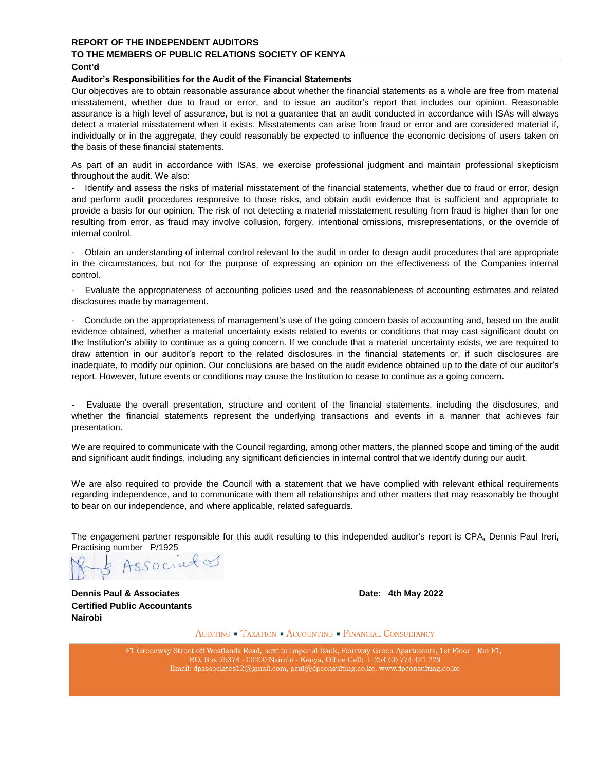#### **REPORT OF THE INDEPENDENT AUDITORS**

#### **TO THE MEMBERS OF PUBLIC RELATIONS SOCIETY OF KENYA**

**Cont'd**

#### **Auditor's Responsibilities for the Audit of the Financial Statements**

Our objectives are to obtain reasonable assurance about whether the financial statements as a whole are free from material misstatement, whether due to fraud or error, and to issue an auditor's report that includes our opinion. Reasonable assurance is a high level of assurance, but is not a guarantee that an audit conducted in accordance with ISAs will always detect a material misstatement when it exists. Misstatements can arise from fraud or error and are considered material if, individually or in the aggregate, they could reasonably be expected to influence the economic decisions of users taken on the basis of these financial statements.

As part of an audit in accordance with ISAs, we exercise professional judgment and maintain professional skepticism throughout the audit. We also:

- Identify and assess the risks of material misstatement of the financial statements, whether due to fraud or error, design and perform audit procedures responsive to those risks, and obtain audit evidence that is sufficient and appropriate to provide a basis for our opinion. The risk of not detecting a material misstatement resulting from fraud is higher than for one resulting from error, as fraud may involve collusion, forgery, intentional omissions, misrepresentations, or the override of internal control.

- Obtain an understanding of internal control relevant to the audit in order to design audit procedures that are appropriate in the circumstances, but not for the purpose of expressing an opinion on the effectiveness of the Companies internal control.

- Evaluate the appropriateness of accounting policies used and the reasonableness of accounting estimates and related disclosures made by management.

- Conclude on the appropriateness of management's use of the going concern basis of accounting and, based on the audit evidence obtained, whether a material uncertainty exists related to events or conditions that may cast significant doubt on the Institution's ability to continue as a going concern. If we conclude that a material uncertainty exists, we are required to draw attention in our auditor's report to the related disclosures in the financial statements or, if such disclosures are inadequate, to modify our opinion. Our conclusions are based on the audit evidence obtained up to the date of our auditor's report. However, future events or conditions may cause the Institution to cease to continue as a going concern.

- Evaluate the overall presentation, structure and content of the financial statements, including the disclosures, and whether the financial statements represent the underlying transactions and events in a manner that achieves fair presentation.

We are required to communicate with the Council regarding, among other matters, the planned scope and timing of the audit and significant audit findings, including any significant deficiencies in internal control that we identify during our audit.

We are also required to provide the Council with a statement that we have complied with relevant ethical requirements regarding independence, and to communicate with them all relationships and other matters that may reasonably be thought to bear on our independence, and where applicable, related safeguards.

The engagement partner responsible for this audit resulting to this independed auditor's report is CPA, Dennis Paul Ireri, Practising number P/1925

ASSOCIa

**Dennis Paul & Associates Date: 4th May 2022 Certified Public Accountants Nairobi** 

AUDITING • TAXATION • ACCOUNTING • FINANCIAL CONSULTANCY

F1 Greenway Street off Westlands Road, next to Imperial Bank, Fourway Green Apartments, 1st Floor - Rm F1, P.O. Box 75374 - 00200 Nairobi - Kenya, Office Cell: + 254 (0) 774 421 228 Email: dpassociates12@gmail.com, paul@dpconsulting.co.ke, www.dpconsulting.co.ke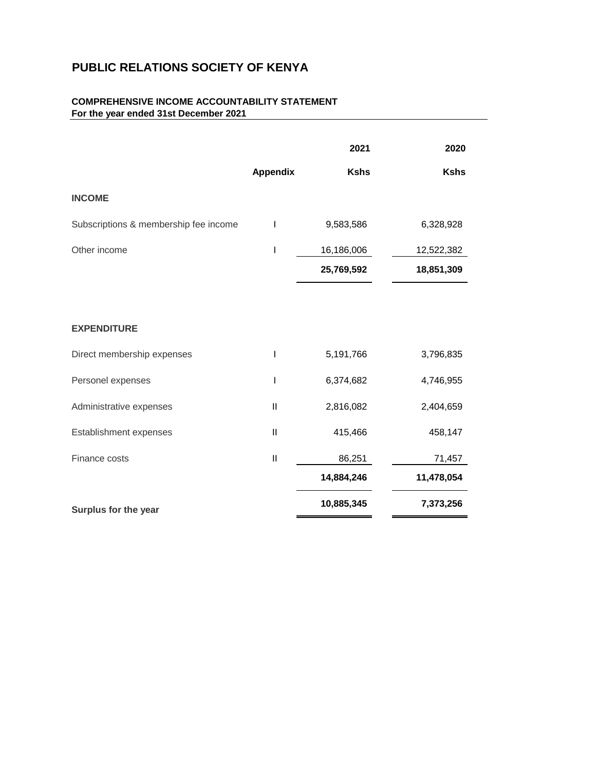### **COMPREHENSIVE INCOME ACCOUNTABILITY STATEMENT For the year ended 31st December 2021**

|                                       |                 | 2021        | 2020        |
|---------------------------------------|-----------------|-------------|-------------|
|                                       | <b>Appendix</b> | <b>Kshs</b> | <b>Kshs</b> |
| <b>INCOME</b>                         |                 |             |             |
| Subscriptions & membership fee income | I               | 9,583,586   | 6,328,928   |
| Other income                          | I               | 16,186,006  | 12,522,382  |
|                                       |                 | 25,769,592  | 18,851,309  |
|                                       |                 |             |             |
| <b>EXPENDITURE</b>                    |                 |             |             |
| Direct membership expenses            |                 | 5,191,766   | 3,796,835   |
| Personel expenses                     | I               | 6,374,682   | 4,746,955   |
| Administrative expenses               | $\mathbf{I}$    | 2,816,082   | 2,404,659   |
| Establishment expenses                | $\mathbf{I}$    | 415,466     | 458,147     |
| Finance costs                         | $\mathbf{I}$    | 86,251      | 71,457      |
|                                       |                 | 14,884,246  | 11,478,054  |
| Surplus for the year                  |                 | 10,885,345  | 7,373,256   |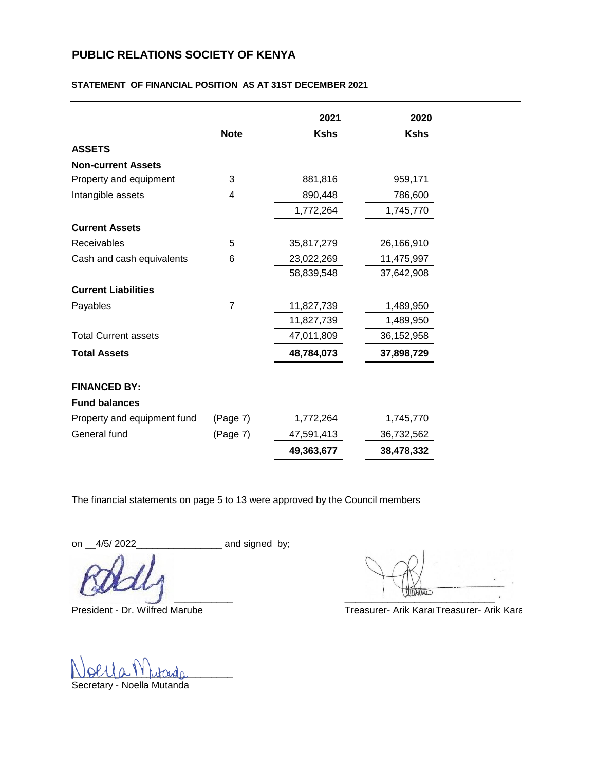### **STATEMENT OF FINANCIAL POSITION AS AT 31ST DECEMBER 2021**

|                             |                | 2021        | 2020         |
|-----------------------------|----------------|-------------|--------------|
|                             | <b>Note</b>    | <b>Kshs</b> | <b>Kshs</b>  |
| <b>ASSETS</b>               |                |             |              |
| <b>Non-current Assets</b>   |                |             |              |
| Property and equipment      | 3              | 881,816     | 959,171      |
| Intangible assets           | 4              | 890,448     | 786,600      |
|                             |                | 1,772,264   | 1,745,770    |
| <b>Current Assets</b>       |                |             |              |
| Receivables                 | 5              | 35,817,279  | 26,166,910   |
| Cash and cash equivalents   | 6              | 23,022,269  | 11,475,997   |
|                             |                | 58,839,548  | 37,642,908   |
| <b>Current Liabilities</b>  |                |             |              |
| Payables                    | $\overline{7}$ | 11,827,739  | 1,489,950    |
|                             |                | 11,827,739  | 1,489,950    |
| <b>Total Current assets</b> |                | 47,011,809  | 36, 152, 958 |
| <b>Total Assets</b>         |                | 48,784,073  | 37,898,729   |
| <b>FINANCED BY:</b>         |                |             |              |
| <b>Fund balances</b>        |                |             |              |
| Property and equipment fund | (Page 7)       | 1,772,264   | 1,745,770    |
| General fund                | (Page 7)       | 47,591,413  | 36,732,562   |
|                             |                | 49,363,677  | 38,478,332   |

The financial statements on page 5 to 13 were approved by the Council members

on \_\_4/5/ 2022\_\_\_\_\_\_\_\_\_\_\_\_\_\_\_\_ and signed by;

 $\frac{1}{2}$  and  $\frac{1}{2}$  and  $\frac{1}{2}$  and  $\frac{1}{2}$  and  $\frac{1}{2}$  and  $\frac{1}{2}$  and  $\frac{1}{2}$  and  $\frac{1}{2}$  and  $\frac{1}{2}$  and  $\frac{1}{2}$  and  $\frac{1}{2}$  and  $\frac{1}{2}$  and  $\frac{1}{2}$  and  $\frac{1}{2}$  and  $\frac{1}{2}$  and  $\frac{1}{2}$  a

President - Dr. Wilfred Marube Treasurer- Arik KaraniTreasurer- Arik KaraniTreasurer- Arik KaraniTreasurer- Arik KaraniTreasurer- Arik KaraniTreasurer- Arik KaraniTreasurer- Arik KaraniTreasurer- Arik KaraniTreasurer- Arik

 $UPLUAL$   $V$  reded  $n$ 

Secretary - Noella Mutanda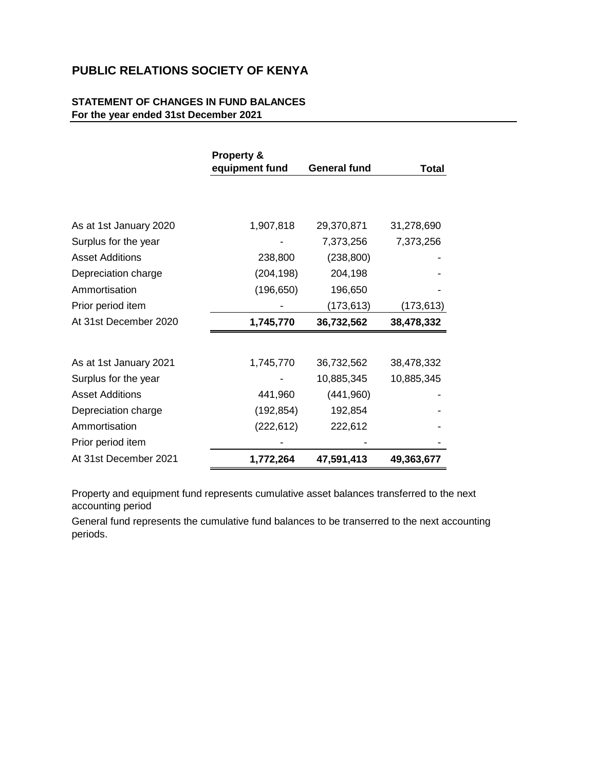## **STATEMENT OF CHANGES IN FUND BALANCES For the year ended 31st December 2021**

|                        | Property &     |                     |              |
|------------------------|----------------|---------------------|--------------|
|                        | equipment fund | <b>General fund</b> | <b>Total</b> |
|                        |                |                     |              |
|                        |                |                     |              |
| As at 1st January 2020 | 1,907,818      | 29,370,871          | 31,278,690   |
| Surplus for the year   |                | 7,373,256           | 7,373,256    |
| <b>Asset Additions</b> | 238,800        | (238, 800)          |              |
| Depreciation charge    | (204, 198)     | 204,198             |              |
| Ammortisation          | (196, 650)     | 196,650             |              |
| Prior period item      |                | (173,613)           | (173, 613)   |
| At 31st December 2020  | 1,745,770      | 36,732,562          | 38,478,332   |
|                        |                |                     |              |
| As at 1st January 2021 | 1,745,770      | 36,732,562          | 38,478,332   |
| Surplus for the year   |                | 10,885,345          | 10,885,345   |
| <b>Asset Additions</b> | 441,960        | (441,960)           |              |
| Depreciation charge    | (192, 854)     | 192,854             |              |
| Ammortisation          | (222, 612)     | 222,612             |              |
| Prior period item      |                |                     |              |
| At 31st December 2021  | 1,772,264      | 47,591,413          | 49,363,677   |

Property and equipment fund represents cumulative asset balances transferred to the next accounting period

General fund represents the cumulative fund balances to be transerred to the next accounting periods.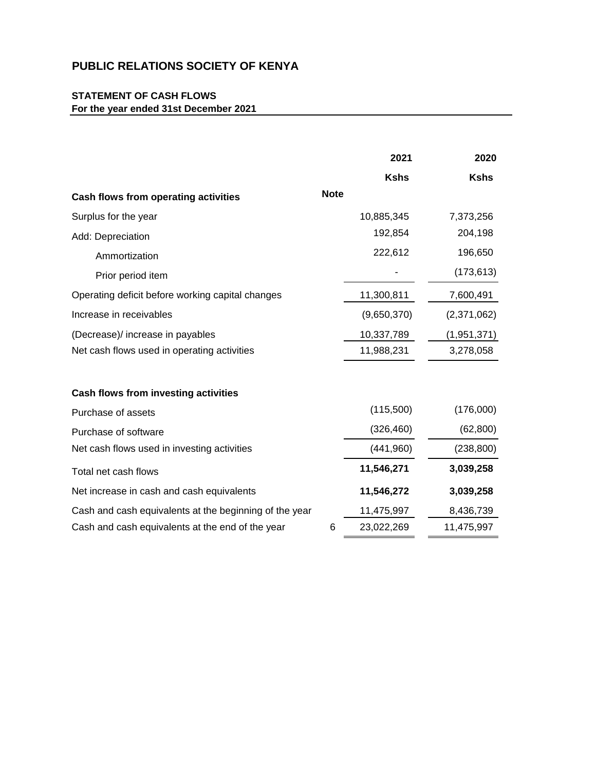# **STATEMENT OF CASH FLOWS For the year ended 31st December 2021**

|                                                            | 2021        | 2020        |
|------------------------------------------------------------|-------------|-------------|
|                                                            | <b>Kshs</b> | <b>Kshs</b> |
| <b>Note</b><br><b>Cash flows from operating activities</b> |             |             |
| Surplus for the year                                       | 10,885,345  | 7,373,256   |
| Add: Depreciation                                          | 192,854     | 204,198     |
| Ammortization                                              | 222,612     | 196,650     |
| Prior period item                                          |             | (173, 613)  |
| Operating deficit before working capital changes           | 11,300,811  | 7,600,491   |
| Increase in receivables                                    | (9,650,370) | (2,371,062) |
| (Decrease)/ increase in payables                           | 10,337,789  | (1,951,371) |
| Net cash flows used in operating activities                | 11,988,231  | 3,278,058   |
| Cash flows from investing activities                       |             |             |
| Purchase of assets                                         | (115,500)   | (176,000)   |
| Purchase of software                                       | (326, 460)  | (62, 800)   |
| Net cash flows used in investing activities                | (441,960)   | (238, 800)  |
| Total net cash flows                                       | 11,546,271  | 3,039,258   |
| Net increase in cash and cash equivalents                  | 11,546,272  | 3,039,258   |
| Cash and cash equivalents at the beginning of the year     | 11,475,997  | 8,436,739   |
| Cash and cash equivalents at the end of the year<br>6      | 23,022,269  | 11,475,997  |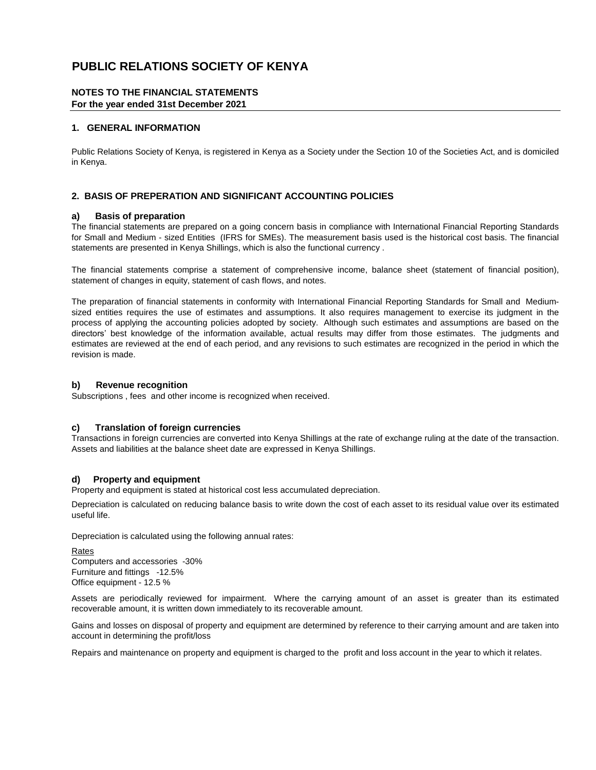#### **NOTES TO THE FINANCIAL STATEMENTS For the year ended 31st December 2021**

#### **1. GENERAL INFORMATION**

Public Relations Society of Kenya, is registered in Kenya as a Society under the Section 10 of the Societies Act, and is domiciled in Kenya.

#### **2. BASIS OF PREPERATION AND SIGNIFICANT ACCOUNTING POLICIES**

#### **a) Basis of preparation**

The financial statements are prepared on a going concern basis in compliance with International Financial Reporting Standards for Small and Medium - sized Entities (IFRS for SMEs). The measurement basis used is the historical cost basis. The financial statements are presented in Kenya Shillings, which is also the functional currency .

The financial statements comprise a statement of comprehensive income, balance sheet (statement of financial position), statement of changes in equity, statement of cash flows, and notes.

The preparation of financial statements in conformity with International Financial Reporting Standards for Small and Mediumsized entities requires the use of estimates and assumptions. It also requires management to exercise its judgment in the process of applying the accounting policies adopted by society. Although such estimates and assumptions are based on the directors' best knowledge of the information available, actual results may differ from those estimates. The judgments and estimates are reviewed at the end of each period, and any revisions to such estimates are recognized in the period in which the revision is made.

#### **b) Revenue recognition**

Subscriptions , fees and other income is recognized when received.

#### **c) Translation of foreign currencies**

Transactions in foreign currencies are converted into Kenya Shillings at the rate of exchange ruling at the date of the transaction. Assets and liabilities at the balance sheet date are expressed in Kenya Shillings.

#### **d) Property and equipment**

Property and equipment is stated at historical cost less accumulated depreciation.

Depreciation is calculated on reducing balance basis to write down the cost of each asset to its residual value over its estimated useful life.

Depreciation is calculated using the following annual rates:

Rates Computers and accessories -30% Furniture and fittings -12.5% Office equipment - 12.5 %

Assets are periodically reviewed for impairment. Where the carrying amount of an asset is greater than its estimated recoverable amount, it is written down immediately to its recoverable amount.

Gains and losses on disposal of property and equipment are determined by reference to their carrying amount and are taken into account in determining the profit/loss

Repairs and maintenance on property and equipment is charged to the profit and loss account in the year to which it relates.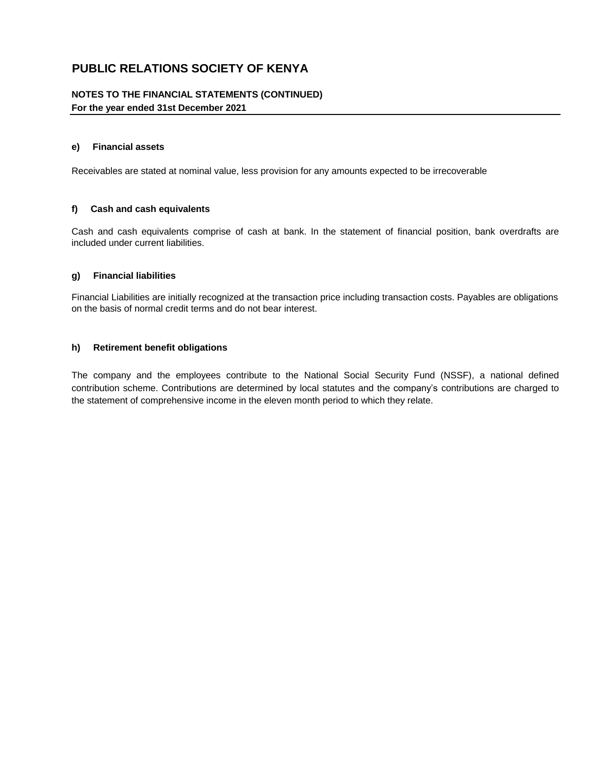# **NOTES TO THE FINANCIAL STATEMENTS (CONTINUED)**

**For the year ended 31st December 2021**

### **e) Financial assets**

Receivables are stated at nominal value, less provision for any amounts expected to be irrecoverable

### **f) Cash and cash equivalents**

Cash and cash equivalents comprise of cash at bank. In the statement of financial position, bank overdrafts are included under current liabilities.

### **g) Financial liabilities**

Financial Liabilities are initially recognized at the transaction price including transaction costs. Payables are obligations on the basis of normal credit terms and do not bear interest.

### **h) Retirement benefit obligations**

The company and the employees contribute to the National Social Security Fund (NSSF), a national defined contribution scheme. Contributions are determined by local statutes and the company's contributions are charged to the statement of comprehensive income in the eleven month period to which they relate.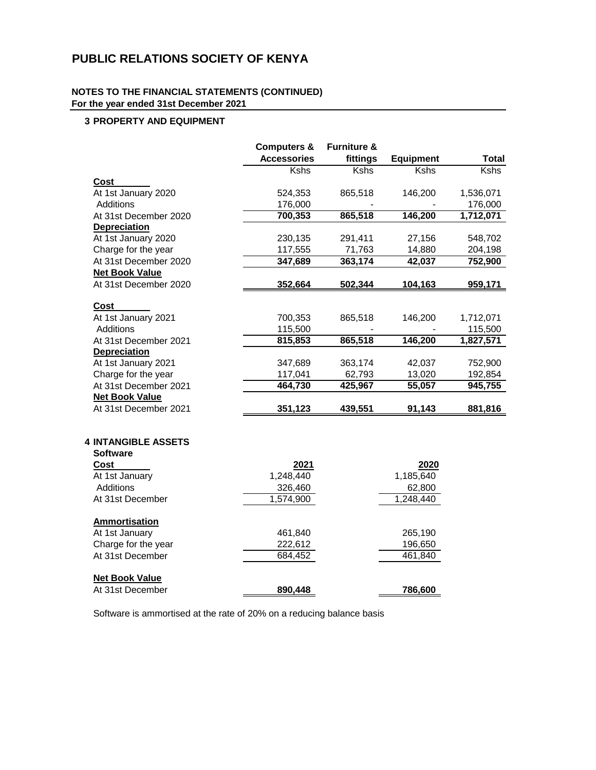### **NOTES TO THE FINANCIAL STATEMENTS (CONTINUED) For the year ended 31st December 2021**

### **3 PROPERTY AND EQUIPMENT**

|                            | <b>Computers &amp;</b> | <b>Furniture &amp;</b> |                  |              |
|----------------------------|------------------------|------------------------|------------------|--------------|
|                            | <b>Accessories</b>     | fittings               | <b>Equipment</b> | <b>Total</b> |
|                            | <b>Kshs</b>            | <b>Kshs</b>            | <b>Kshs</b>      | <b>Kshs</b>  |
| Cost                       |                        |                        |                  |              |
| At 1st January 2020        | 524,353                | 865,518                | 146,200          | 1,536,071    |
| <b>Additions</b>           | 176,000                |                        |                  | 176,000      |
| At 31st December 2020      | 700,353                | 865,518                | 146,200          | 1,712,071    |
| <b>Depreciation</b>        |                        |                        |                  |              |
| At 1st January 2020        | 230,135                | 291,411                | 27,156           | 548,702      |
| Charge for the year        | 117,555                | 71,763                 | 14,880           | 204,198      |
| At 31st December 2020      | 347,689                | 363,174                | 42,037           | 752,900      |
| <b>Net Book Value</b>      |                        |                        |                  |              |
| At 31st December 2020      | 352,664                | 502,344                | 104,163          | 959,171      |
| <b>Cost</b>                |                        |                        |                  |              |
| At 1st January 2021        | 700,353                | 865,518                | 146,200          | 1,712,071    |
| Additions                  | 115,500                |                        |                  | 115,500      |
| At 31st December 2021      | 815,853                | 865,518                | 146,200          | 1,827,571    |
| <b>Depreciation</b>        |                        |                        |                  |              |
| At 1st January 2021        | 347,689                | 363,174                | 42,037           | 752,900      |
| Charge for the year        | 117,041                | 62,793                 | 13,020           | 192,854      |
| At 31st December 2021      | 464,730                | 425,967                | 55,057           | 945,755      |
| <b>Net Book Value</b>      |                        |                        |                  |              |
| At 31st December 2021      | 351,123                | 439,551                | 91,143           | 881,816      |
|                            |                        |                        |                  |              |
| <b>4 INTANGIBLE ASSETS</b> |                        |                        |                  |              |
| <b>Software</b>            |                        |                        |                  |              |
| Cost                       | 2021                   |                        | 2020             |              |
| At 1st January             | 1,248,440              |                        | 1,185,640        |              |
| Additions                  | 326,460                |                        | 62,800           |              |
| At 31st December           | 1,574,900              |                        | 1,248,440        |              |
| <b>Ammortisation</b>       |                        |                        |                  |              |
| At 1st January             | 461,840                |                        | 265,190          |              |
| Charge for the year        | 222,612                |                        | 196,650          |              |
| At 31st December           | 684,452                |                        | 461,840          |              |
| <b>Net Book Value</b>      |                        |                        |                  |              |
| At 31st December           | 890,448                |                        | 786,600          |              |

Software is ammortised at the rate of 20% on a reducing balance basis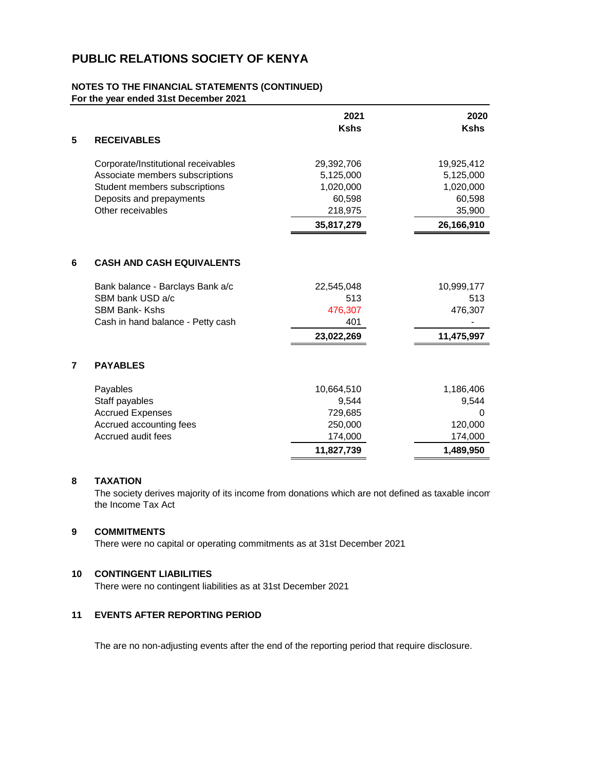#### **NOTES TO THE FINANCIAL STATEMENTS (CONTINUED) For the year ended 31st December 2021**

| <b>Kshs</b><br><b>Kshs</b><br>29,392,706<br>19,925,412<br>5,125,000<br>5,125,000<br>1,020,000<br>1,020,000<br>60,598<br>60,598<br>218,975<br>35,900<br>35,817,279<br>26,166,910 |
|---------------------------------------------------------------------------------------------------------------------------------------------------------------------------------|
|                                                                                                                                                                                 |
|                                                                                                                                                                                 |
|                                                                                                                                                                                 |
|                                                                                                                                                                                 |
|                                                                                                                                                                                 |
|                                                                                                                                                                                 |
|                                                                                                                                                                                 |
|                                                                                                                                                                                 |
|                                                                                                                                                                                 |
| 22,545,048<br>10,999,177                                                                                                                                                        |
| 513<br>513                                                                                                                                                                      |
| 476,307<br>476,307                                                                                                                                                              |
| 401                                                                                                                                                                             |
| 11,475,997<br>23,022,269                                                                                                                                                        |
|                                                                                                                                                                                 |
| 10,664,510<br>1,186,406                                                                                                                                                         |
| 9,544<br>9,544                                                                                                                                                                  |
| 729,685<br>0                                                                                                                                                                    |
| 250,000<br>120,000                                                                                                                                                              |
| 174,000<br>174,000                                                                                                                                                              |
| 11,827,739<br>1,489,950                                                                                                                                                         |
|                                                                                                                                                                                 |

### **8 TAXATION**

The society derives majority of its income from donations which are not defined as taxable incom the Income Tax Act

### **9 COMMITMENTS**

There were no capital or operating commitments as at 31st December 2021

#### **10 CONTINGENT LIABILITIES**

There were no contingent liabilities as at 31st December 2021

### **11 EVENTS AFTER REPORTING PERIOD**

The are no non-adjusting events after the end of the reporting period that require disclosure.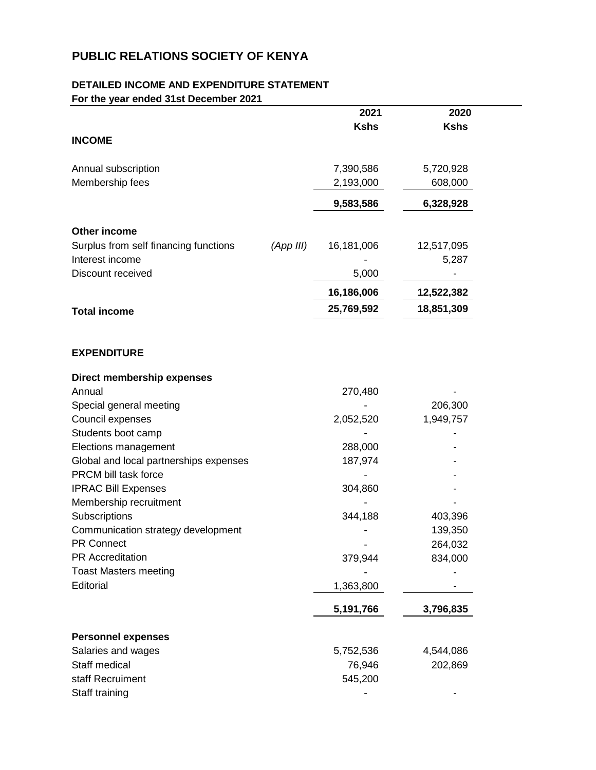# **DETAILED INCOME AND EXPENDITURE STATEMENT**

**For the year ended 31st December 2021**

|                                                                       |           | 2021<br><b>Kshs</b> | 2020<br><b>Kshs</b> |
|-----------------------------------------------------------------------|-----------|---------------------|---------------------|
| <b>INCOME</b>                                                         |           |                     |                     |
| Annual subscription                                                   |           | 7,390,586           | 5,720,928           |
| Membership fees                                                       |           | 2,193,000           | 608,000             |
|                                                                       |           | 9,583,586           | 6,328,928           |
| <b>Other income</b>                                                   |           |                     |                     |
| Surplus from self financing functions                                 | (App III) | 16,181,006          | 12,517,095          |
| Interest income                                                       |           |                     | 5,287               |
| Discount received                                                     |           | 5,000               |                     |
|                                                                       |           | 16,186,006          | 12,522,382          |
| <b>Total income</b>                                                   |           | 25,769,592          | 18,851,309          |
|                                                                       |           |                     |                     |
| <b>EXPENDITURE</b>                                                    |           |                     |                     |
| <b>Direct membership expenses</b>                                     |           |                     |                     |
| Annual                                                                |           | 270,480             |                     |
| Special general meeting                                               |           |                     | 206,300             |
| Council expenses                                                      |           | 2,052,520           | 1,949,757           |
| Students boot camp                                                    |           |                     |                     |
| Elections management                                                  |           | 288,000             |                     |
| Global and local partnerships expenses<br><b>PRCM bill task force</b> |           | 187,974             |                     |
| <b>IPRAC Bill Expenses</b>                                            |           | 304,860             |                     |
| Membership recruitment                                                |           |                     |                     |
| Subscriptions                                                         |           | 344,188             | 403,396             |
| Communication strategy development                                    |           |                     | 139,350             |
| <b>PR Connect</b>                                                     |           |                     | 264,032             |
| <b>PR</b> Accreditation                                               |           | 379,944             | 834,000             |
| <b>Toast Masters meeting</b>                                          |           |                     |                     |
| Editorial                                                             |           | 1,363,800           |                     |
|                                                                       |           | 5,191,766           | 3,796,835           |
| <b>Personnel expenses</b>                                             |           |                     |                     |
| Salaries and wages                                                    |           | 5,752,536           | 4,544,086           |
| Staff medical                                                         |           | 76,946              | 202,869             |
| staff Recruiment                                                      |           | 545,200             |                     |
| Staff training                                                        |           |                     |                     |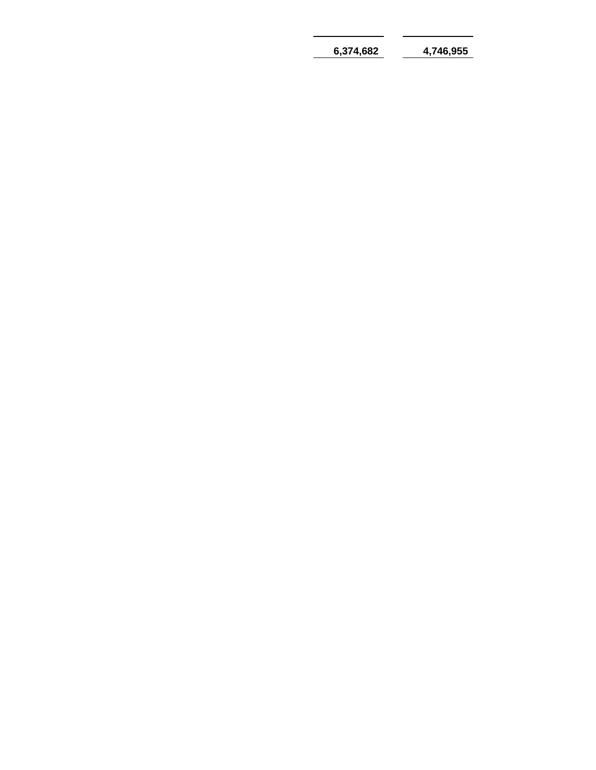**6,374,682 4,746,955**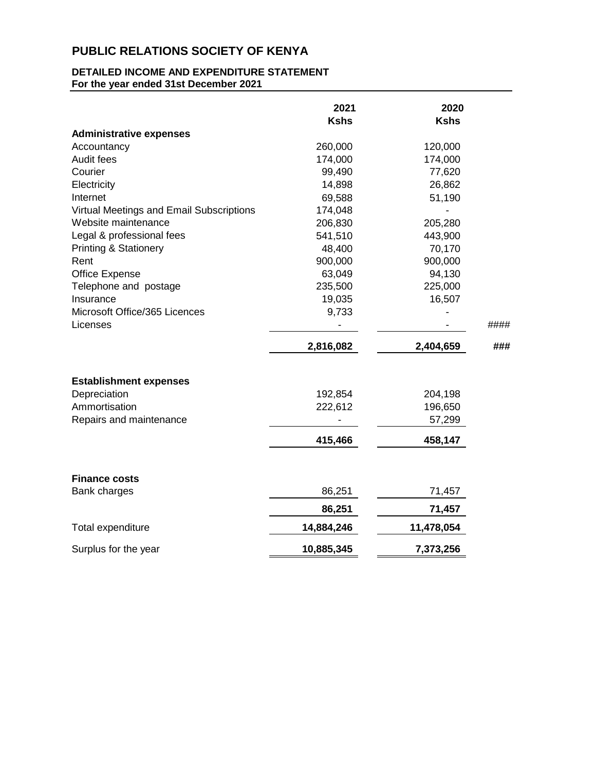## **DETAILED INCOME AND EXPENDITURE STATEMENT For the year ended 31st December 2021**

|                                          | 2021        | 2020        |      |
|------------------------------------------|-------------|-------------|------|
|                                          | <b>Kshs</b> | <b>Kshs</b> |      |
| <b>Administrative expenses</b>           |             |             |      |
| Accountancy                              | 260,000     | 120,000     |      |
| Audit fees                               | 174,000     | 174,000     |      |
| Courier                                  | 99,490      | 77,620      |      |
| Electricity                              | 14,898      | 26,862      |      |
| Internet                                 | 69,588      | 51,190      |      |
| Virtual Meetings and Email Subscriptions | 174,048     |             |      |
| Website maintenance                      | 206,830     | 205,280     |      |
| Legal & professional fees                | 541,510     | 443,900     |      |
| <b>Printing &amp; Stationery</b>         | 48,400      | 70,170      |      |
| Rent                                     | 900,000     | 900,000     |      |
| Office Expense                           | 63,049      | 94,130      |      |
| Telephone and postage                    | 235,500     | 225,000     |      |
| Insurance                                | 19,035      | 16,507      |      |
| Microsoft Office/365 Licences            | 9,733       |             |      |
| Licenses                                 |             |             | #### |
|                                          | 2,816,082   | 2,404,659   | ###  |
| <b>Establishment expenses</b>            |             |             |      |
| Depreciation                             | 192,854     | 204,198     |      |
| Ammortisation                            | 222,612     | 196,650     |      |
| Repairs and maintenance                  |             | 57,299      |      |
|                                          | 415,466     | 458,147     |      |
| <b>Finance costs</b>                     |             |             |      |
| Bank charges                             | 86,251      | 71,457      |      |
|                                          | 86,251      | 71,457      |      |
| Total expenditure                        | 14,884,246  | 11,478,054  |      |
| Surplus for the year                     | 10,885,345  | 7,373,256   |      |